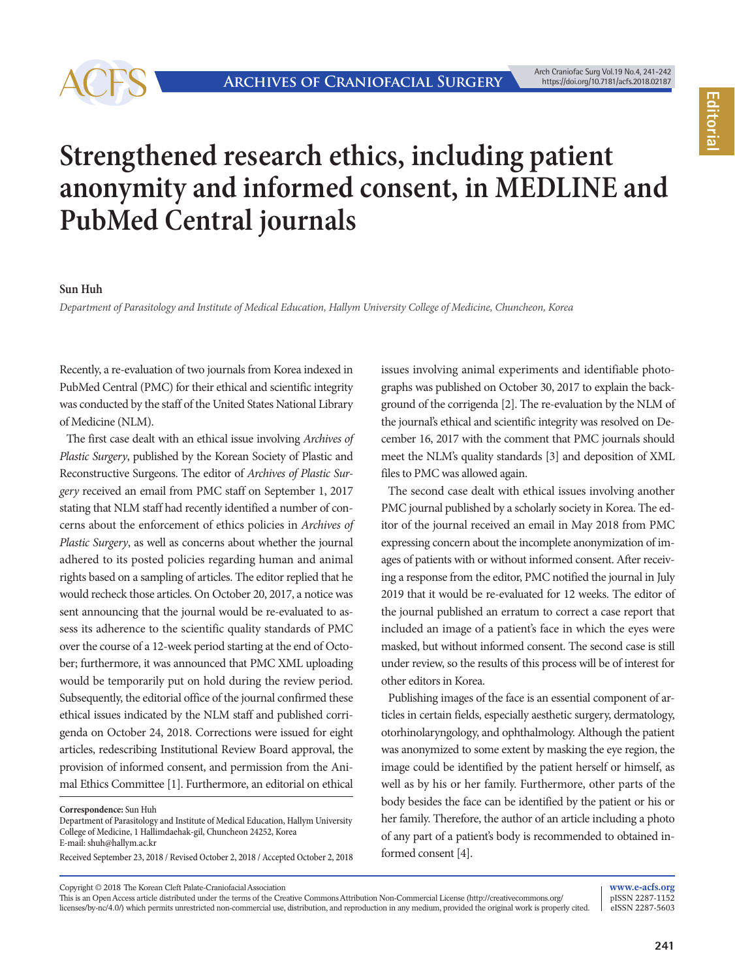

## **Strengthened research ethics, including patient anonymity and informed consent, in MEDLINE and PubMed Central journals**

## **Sun Huh**

*Department of Parasitology and Institute of Medical Education, Hallym University College of Medicine, Chuncheon, Korea*

Recently, a re-evaluation of two journals from Korea indexed in PubMed Central (PMC) for their ethical and scientific integrity was conducted by the staff of the United States National Library of Medicine (NLM).

The first case dealt with an ethical issue involving *Archives of Plastic Surgery*, published by the Korean Society of Plastic and Reconstructive Surgeons. The editor of *Archives of Plastic Surgery* received an email from PMC staff on September 1, 2017 stating that NLM staff had recently identified a number of concerns about the enforcement of ethics policies in *Archives of Plastic Surgery*, as well as concerns about whether the journal adhered to its posted policies regarding human and animal rights based on a sampling of articles. The editor replied that he would recheck those articles. On October 20, 2017, a notice was sent announcing that the journal would be re-evaluated to assess its adherence to the scientific quality standards of PMC over the course of a 12-week period starting at the end of October; furthermore, it was announced that PMC XML uploading would be temporarily put on hold during the review period. Subsequently, the editorial office of the journal confirmed these ethical issues indicated by the NLM staff and published corrigenda on October 24, 2018. Corrections were issued for eight articles, redescribing Institutional Review Board approval, the provision of informed consent, and permission from the Animal Ethics Committee [1]. Furthermore, an editorial on ethical

**Correspondence:** Sun Huh

Department of Parasitology and Institute of Medical Education, Hallym University College of Medicine, 1 Hallimdaehak-gil, Chuncheon 24252, Korea E-mail: shuh@hallym.ac.kr

Received September 23, 2018 / Revised October 2, 2018 / Accepted October 2, 2018

issues involving animal experiments and identifiable photographs was published on October 30, 2017 to explain the background of the corrigenda [2]. The re-evaluation by the NLM of the journal's ethical and scientific integrity was resolved on December 16, 2017 with the comment that PMC journals should meet the NLM's quality standards [3] and deposition of XML files to PMC was allowed again.

The second case dealt with ethical issues involving another PMC journal published by a scholarly society in Korea. The editor of the journal received an email in May 2018 from PMC expressing concern about the incomplete anonymization of images of patients with or without informed consent. After receiving a response from the editor, PMC notified the journal in July 2019 that it would be re-evaluated for 12 weeks. The editor of the journal published an erratum to correct a case report that included an image of a patient's face in which the eyes were masked, but without informed consent. The second case is still under review, so the results of this process will be of interest for other editors in Korea.

Publishing images of the face is an essential component of articles in certain fields, especially aesthetic surgery, dermatology, otorhinolaryngology, and ophthalmology. Although the patient was anonymized to some extent by masking the eye region, the image could be identified by the patient herself or himself, as well as by his or her family. Furthermore, other parts of the body besides the face can be identified by the patient or his or her family. Therefore, the author of an article including a photo of any part of a patient's body is recommended to obtained informed consent [4].

Copyright © 2018 The Korean Cleft Palate-Craniofacial Association

This is an Open Access article distributed under the terms of the Creative Commons Attribution Non-Commercial License (http://creativecommons.org/ licenses/by-nc/4.0/) which permits unrestricted non-commercial use, distribution, and reproduction in any medium, provided the original work is properly cited.

**www.e-acfs.org** pISSN 2287-1152 eISSN 2287-5603